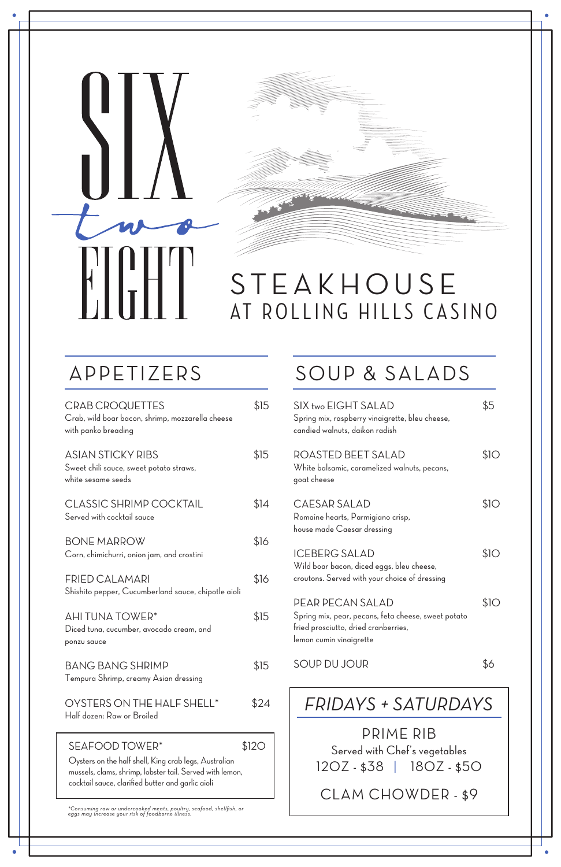## SOUP & SALADS

Oysters on the half shell, King crab legs, Australian mussels, clams, shrimp, lobster tail. Served with lemon, cocktail sauce, clarified butter and garlic aioli

*\*Consuming raw or undercooked meats, poultry, seafood, shellfish, or eggs may increase your risk of foodborne illness.*

## **STEAKHOUSE** AT ROLLING HILLS CASINO

## APPETIZERS

BANG BANG SHRIMP \$15 Tempura Shrimp, creamy Asian dressing

OYSTERS ON THE HALF SHELL\* \$24 Half dozen: Raw or Broiled

SEAFOOD TOWER<sup>\*</sup> \$120

| <b>CRAB CROQUETTES</b><br>Crab, wild boar bacon, shrimp, mozzarella cheese<br>with panko breading | \$15 |
|---------------------------------------------------------------------------------------------------|------|
| <b>ASIAN STICKY RIBS</b><br>Sweet chili sauce, sweet potato straws,<br>white sesame seeds         | \$15 |
| <b>CLASSIC SHRIMP COCKTAIL</b><br>Served with cocktail sauce                                      | \$14 |
| <b>BONE MARROW</b><br>Corn, chimichurri, onion jam, and crostini                                  | \$16 |
| FRIED CALAMARI<br>Shishito pepper, Cucumberland sauce, chipotle aioli                             | \$16 |
| AHI TUNA TOWER*                                                                                   |      |

Diced tuna, cucumber, avocado cream, and

ponzu sauce

| SIX two EIGHT SALAD<br>Spring mix, raspberry vinaigrette, bleu cheese,<br>candied walnuts, daikon radish           | \$5  |
|--------------------------------------------------------------------------------------------------------------------|------|
| ROASTED BEET SALAD<br>White balsamic, caramelized walnuts, pecans,<br>goat cheese                                  | \$10 |
| CAESAR SALAD<br>Romaine hearts, Parmigiano crisp,<br>house made Caesar dressing                                    | \$1O |
| <b>ICEBERG SALAD</b><br>Wild boar bacon, diced eggs, bleu cheese,<br>croutons. Served with your choice of dressing | \$10 |
| PEAR PECAN SALAD<br>Spring mix, pear, pecans, feta cheese, sweet potato                                            | \$10 |

fried prosciutto, dried cranberries,

lemon cumin vinaigrette

CLAM CHOWDER - \$9

SOUP DU JOUR \$6 PRIME RIB Served with Chef's vegetables 12OZ - \$38 | 18OZ - \$50 *FRIDAYS + SATURDAYS*